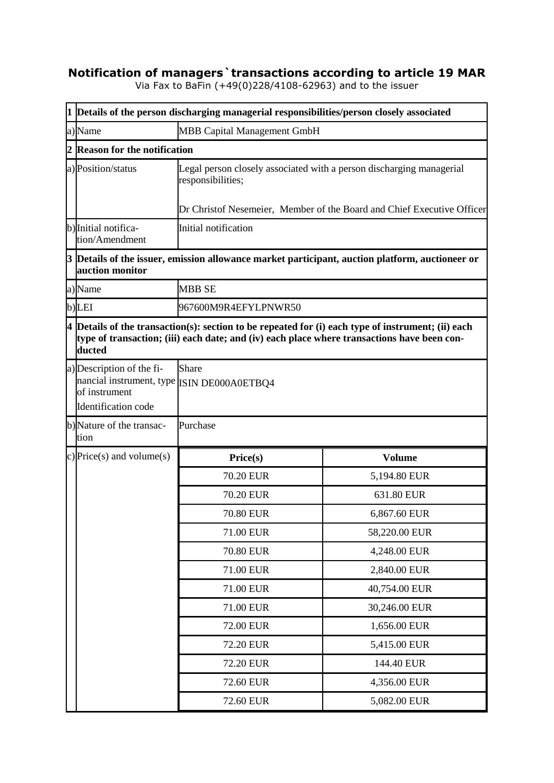## **Notification of managers`transactions according to article 19 MAR**

Via Fax to BaFin (+49(0)228/4108-62963) and to the issuer

|   | 1 Details of the person discharging managerial responsibilities/person closely associated                                                                                                                     |                                                                                                                                                                     |               |  |  |
|---|---------------------------------------------------------------------------------------------------------------------------------------------------------------------------------------------------------------|---------------------------------------------------------------------------------------------------------------------------------------------------------------------|---------------|--|--|
|   | a)Name                                                                                                                                                                                                        | <b>MBB Capital Management GmbH</b>                                                                                                                                  |               |  |  |
| 2 | <b>Reason for the notification</b>                                                                                                                                                                            |                                                                                                                                                                     |               |  |  |
|   | a) Position/status                                                                                                                                                                                            | Legal person closely associated with a person discharging managerial<br>responsibilities;<br>Dr Christof Nesemeier, Member of the Board and Chief Executive Officer |               |  |  |
|   | b) Initial notifica-<br>tion/Amendment                                                                                                                                                                        | Initial notification                                                                                                                                                |               |  |  |
|   | auction monitor                                                                                                                                                                                               | 3 Details of the issuer, emission allowance market participant, auction platform, auctioneer or                                                                     |               |  |  |
|   | a)Name                                                                                                                                                                                                        | <b>MBB SE</b>                                                                                                                                                       |               |  |  |
|   | b)LEI                                                                                                                                                                                                         | 967600M9R4EFYLPNWR50                                                                                                                                                |               |  |  |
|   | $4$ Details of the transaction(s): section to be repeated for (i) each type of instrument; (ii) each<br>type of transaction; (iii) each date; and (iv) each place where transactions have been con-<br>ducted |                                                                                                                                                                     |               |  |  |
|   | a) Description of the fi-<br>nancial instrument, type ISIN DE000A0ETBQ4<br>of instrument<br>Identification code                                                                                               | <b>Share</b>                                                                                                                                                        |               |  |  |
|   | b)Nature of the transac-<br>tion                                                                                                                                                                              | Purchase                                                                                                                                                            |               |  |  |
|   | c) Price(s) and volume(s)                                                                                                                                                                                     | Price(s)                                                                                                                                                            | <b>Volume</b> |  |  |
|   |                                                                                                                                                                                                               | <b>70.20 EUR</b>                                                                                                                                                    | 5,194.80 EUR  |  |  |
|   |                                                                                                                                                                                                               | <b>70.20 EUR</b>                                                                                                                                                    | 631.80 EUR    |  |  |
|   |                                                                                                                                                                                                               | 70.80 EUR                                                                                                                                                           | 6,867.60 EUR  |  |  |
|   |                                                                                                                                                                                                               | 71.00 EUR                                                                                                                                                           | 58,220.00 EUR |  |  |
|   |                                                                                                                                                                                                               | 70.80 EUR                                                                                                                                                           | 4,248.00 EUR  |  |  |
|   |                                                                                                                                                                                                               | 71.00 EUR                                                                                                                                                           | 2,840.00 EUR  |  |  |
|   |                                                                                                                                                                                                               | 71.00 EUR                                                                                                                                                           | 40,754.00 EUR |  |  |
|   |                                                                                                                                                                                                               | 71.00 EUR                                                                                                                                                           | 30,246.00 EUR |  |  |
|   |                                                                                                                                                                                                               | 72.00 EUR                                                                                                                                                           | 1,656.00 EUR  |  |  |
|   |                                                                                                                                                                                                               | 72.20 EUR                                                                                                                                                           | 5,415.00 EUR  |  |  |
|   |                                                                                                                                                                                                               | 72.20 EUR                                                                                                                                                           | 144.40 EUR    |  |  |
|   |                                                                                                                                                                                                               | 72.60 EUR                                                                                                                                                           | 4,356.00 EUR  |  |  |
|   |                                                                                                                                                                                                               | 72.60 EUR                                                                                                                                                           | 5,082.00 EUR  |  |  |